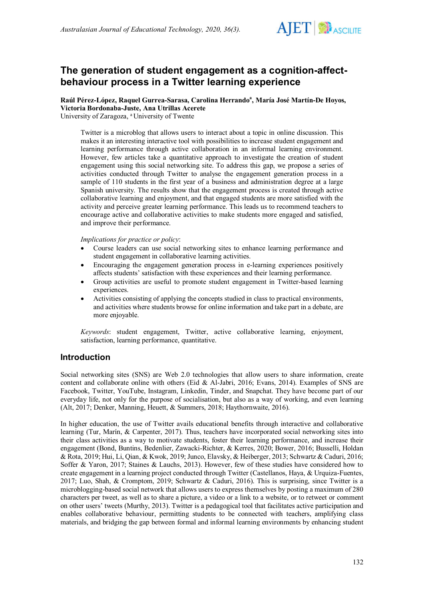

# **The generation of student engagement as a cognition-affectbehaviour process in a Twitter learning experience**

Raúl Pérez-López, Raquel Gurrea-Sarasa, Carolina Herrando<sup>a</sup>, María José Martín-De Hoyos, **Victoria Bordonaba-Juste, Ana Utrillas Acerete**

University of Zaragoza, <sup>a</sup> University of Twente

Twitter is a microblog that allows users to interact about a topic in online discussion. This makes it an interesting interactive tool with possibilities to increase student engagement and learning performance through active collaboration in an informal learning environment. However, few articles take a quantitative approach to investigate the creation of student engagement using this social networking site. To address this gap, we propose a series of activities conducted through Twitter to analyse the engagement generation process in a sample of 110 students in the first year of a business and administration degree at a large Spanish university. The results show that the engagement process is created through active collaborative learning and enjoyment, and that engaged students are more satisfied with the activity and perceive greater learning performance. This leads us to recommend teachers to encourage active and collaborative activities to make students more engaged and satisfied, and improve their performance.

*Implications for practice or policy*:

- Course leaders can use social networking sites to enhance learning performance and student engagement in collaborative learning activities.
- Encouraging the engagement generation process in e-learning experiences positively affects students' satisfaction with these experiences and their learning performance.
- Group activities are useful to promote student engagement in Twitter-based learning experiences.
- Activities consisting of applying the concepts studied in class to practical environments, and activities where students browse for online information and take part in a debate, are more enjoyable.

*Keywords*: student engagement, Twitter, active collaborative learning, enjoyment, satisfaction, learning performance, quantitative.

# **Introduction**

Social networking sites (SNS) are Web 2.0 technologies that allow users to share information, create content and collaborate online with others (Eid & Al-Jabri, 2016; Evans, 2014). Examples of SNS are Facebook, Twitter, YouTube, Instagram, Linkedin, Tinder, and Snapchat. They have become part of our everyday life, not only for the purpose of socialisation, but also as a way of working, and even learning (Alt, 2017; Denker, Manning, Heuett, & Summers, 2018; Haythornwaite, 2016).

In higher education, the use of Twitter avails educational benefits through interactive and collaborative learning (Tur, Marín, & Carpenter, 2017). Thus, teachers have incorporated social networking sites into their class activities as a way to motivate students, foster their learning performance, and increase their engagement (Bond, Buntins, Bedenlier, Zawacki-Richter, & Kerres, 2020; Bower, 2016; Busselli, Holdan & Rota, 2019; Hui, Li, Qian, & Kwok, 2019; Junco, Elavsky, & Heiberger, 2013; Schwartz & Caduri, 2016; Soffer & Yaron, 2017; Staines & Lauchs, 2013). However, few of these studies have considered how to create engagement in a learning project conducted through Twitter (Castellanos, Haya, & Urquiza-Fuentes, 2017; Luo, Shah, & Cromptom, 2019; Schwartz & Caduri, 2016). This is surprising, since Twitter is a microblogging-based social network that allows users to express themselves by posting a maximum of 280 characters per tweet, as well as to share a picture, a video or a link to a website, or to retweet or comment on other users' tweets (Murthy, 2013). Twitter is a pedagogical tool that facilitates active participation and enables collaborative behaviour, permitting students to be connected with teachers, amplifying class materials, and bridging the gap between formal and informal learning environments by enhancing student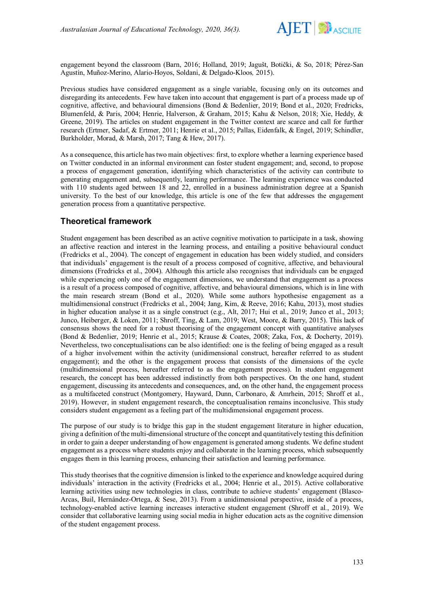

engagement beyond the classroom (Barn, 2016; Holland, 2019; Jagušt, Botički, & So, 2018; Pérez-San Agustín, Muñoz-Merino, Alario-Hoyos, Soldani, & Delgado-Kloos*,* 2015).

Previous studies have considered engagement as a single variable, focusing only on its outcomes and disregarding its antecedents. Few have taken into account that engagement is part of a process made up of cognitive, affective, and behavioural dimensions (Bond & Bedenlier, 2019; Bond et al., 2020; Fredricks, Blumenfeld, & Paris, 2004; Henrie, Halverson, & Graham, 2015; Kahu & Nelson, 2018; Xie, Heddy, & Greene, 2019). The articles on student engagement in the Twitter context are scarce and call for further research (Ertmer, Sadaf, & Ertmer, 2011; Henrie et al., 2015; Pallas, Eidenfalk, & Engel, 2019; Schindler, Burkholder, Morad, & Marsh, 2017; Tang & Hew, 2017).

As a consequence, this article has two main objectives: first, to explore whether a learning experience based on Twitter conducted in an informal environment can foster student engagement; and, second, to propose a process of engagement generation, identifying which characteristics of the activity can contribute to generating engagement and, subsequently, learning performance. The learning experience was conducted with 110 students aged between 18 and 22, enrolled in a business administration degree at a Spanish university. To the best of our knowledge, this article is one of the few that addresses the engagement generation process from a quantitative perspective.

# **Theoretical framework**

Student engagement has been described as an active cognitive motivation to participate in a task, showing an affective reaction and interest in the learning process, and entailing a positive behavioural conduct (Fredricks et al., 2004). The concept of engagement in education has been widely studied, and considers that individuals' engagement is the result of a process composed of cognitive, affective, and behavioural dimensions (Fredricks et al., 2004). Although this article also recognises that individuals can be engaged while experiencing only one of the engagement dimensions, we understand that engagement as a process is a result of a process composed of cognitive, affective, and behavioural dimensions, which is in line with the main research stream (Bond et al., 2020). While some authors hypothesise engagement as a multidimensional construct (Fredricks et al., 2004; Jang, Kim, & Reeve, 2016; Kahu, 2013), most studies in higher education analyse it as a single construct (e.g., Alt, 2017; Hui et al., 2019; Junco et al., 2013; Junco, Heiberger, & Loken, 2011; Shroff, Ting, & Lam, 2019; West, Moore, & Barry, 2015). This lack of consensus shows the need for a robust theorising of the engagement concept with quantitative analyses (Bond & Bedenlier, 2019; Henrie et al., 2015; Krause & Coates, 2008; Zaka, Fox, & Docherty, 2019). Nevertheless, two conceptualisations can be also identified: one is the feeling of being engaged as a result of a higher involvement within the activity (unidimensional construct, hereafter referred to as student engagement); and the other is the engagement process that consists of the dimensions of the cycle (multidimensional process, hereafter referred to as the engagement process). In student engagement research, the concept has been addressed indistinctly from both perspectives. On the one hand, student engagement, discussing its antecedents and consequences, and, on the other hand, the engagement process as a multifaceted construct (Montgomery, Hayward, Dunn, Carbonaro, & Amrhein, 2015; Shroff et al., 2019). However, in student engagement research, the conceptualisation remains inconclusive. This study considers student engagement as a feeling part of the multidimensional engagement process.

The purpose of our study is to bridge this gap in the student engagement literature in higher education, giving a definition of the multi-dimensional structure of the concept and quantitatively testing this definition in order to gain a deeper understanding of how engagement is generated among students. We define student engagement as a process where students enjoy and collaborate in the learning process, which subsequently engages them in this learning process, enhancing their satisfaction and learning performance.

This study theorises that the cognitive dimension is linked to the experience and knowledge acquired during individuals' interaction in the activity (Fredricks et al., 2004; Henrie et al., 2015). Active collaborative learning activities using new technologies in class, contribute to achieve students' engagement (Blasco-Arcas, Buil, Hernández-Ortega, & Sese, 2013). From a unidimensional perspective, inside of a process, technology-enabled active learning increases interactive student engagement (Shroff et al*.*, 2019). We consider that collaborative learning using social media in higher education acts as the cognitive dimension of the student engagement process.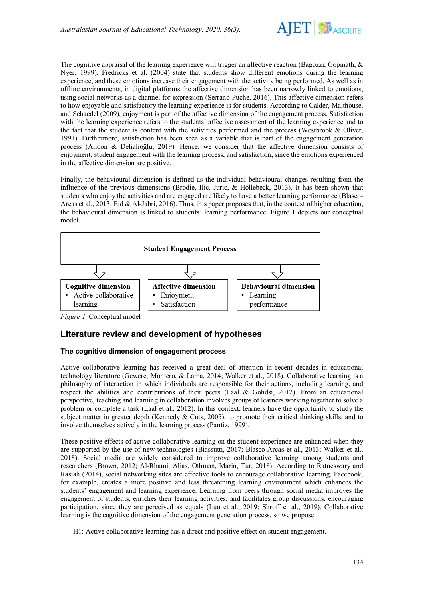

The cognitive appraisal of the learning experience will trigger an affective reaction (Bagozzi, Gopinath, & Nyer, 1999). Fredricks et al. (2004) state that students show different emotions during the learning experience, and these emotions increase their engagement with the activity being performed. As well as in offline environments, in digital platforms the affective dimension has been narrowly linked to emotions, using social networks as a channel for expression (Serrano-Puche, 2016). This affective dimension refers to how enjoyable and satisfactory the learning experience is for students. According to Calder, Malthouse, and Schaedel (2009), enjoyment is part of the affective dimension of the engagement process. Satisfaction with the learning experience refers to the students' affective assessment of the learning experience and to the fact that the student is content with the activities performed and the process (Westbrook & Oliver, 1991). Furthermore, satisfaction has been seen as a variable that is part of the engagement generation process (Alioon & Delialioğlu, 2019). Hence, we consider that the affective dimension consists of enjoyment, student engagement with the learning process, and satisfaction, since the emotions experienced in the affective dimension are positive.

Finally, the behavioural dimension is defined as the individual behavioural changes resulting from the influence of the previous dimensions (Brodie, Ilic, Juric, & Hollebeck, 2013). It has been shown that students who enjoy the activities and are engaged are likely to have a better learning performance (Blasco-Arcas et al., 2013; Eid & Al-Jabri, 2016). Thus, this paper proposes that, in the context of higher education, the behavioural dimension is linked to students' learning performance. Figure 1 depicts our conceptual model.



*Figure 1.* Conceptual model

# **Literature review and development of hypotheses**

## **The cognitive dimension of engagement process**

Active collaborative learning has received a great deal of attention in recent decades in educational technology literature (Gewerc, Montero, & Lama, 2014; Walker et al., 2018). Collaborative learning is a philosophy of interaction in which individuals are responsible for their actions, including learning, and respect the abilities and contributions of their peers (Laal & Gohdsi, 2012). From an educational perspective, teaching and learning in collaboration involves groups of learners working together to solve a problem or complete a task (Laal et al., 2012). In this context, learners have the opportunity to study the subject matter in greater depth (Kennedy & Cuts, 2005), to promote their critical thinking skills, and to involve themselves actively in the learning process (Pantiz, 1999).

These positive effects of active collaborative learning on the student experience are enhanced when they are supported by the use of new technologies (Biassutti, 2017; Blasco-Arcas et al., 2013; Walker et al., 2018). Social media are widely considered to improve collaborative learning among students and researchers (Brown, 2012; Al-Rhami, Alias, Othman, Marin, Tur, 2018). According to Ratneswary and Rasiah (2014), social networking sites are effective tools to encourage collaborative learning. Facebook, for example, creates a more positive and less threatening learning environment which enhances the students' engagement and learning experience. Learning from peers through social media improves the engagement of students, enriches their learning activities, and facilitates group discussions, encouraging participation, since they are perceived as equals (Luo et al., 2019; Shroff et al., 2019). Collaborative learning is the cognitive dimension of the engagement generation process, so we propose:

H1: Active collaborative learning has a direct and positive effect on student engagement.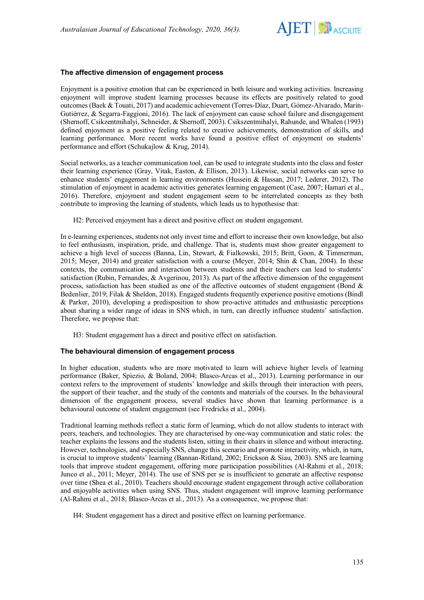

### **The affective dimension of engagement process**

Enjoyment is a positive emotion that can be experienced in both leisure and working activities. Increasing enjoyment will improve student learning processes because its effects are positively related to good outcomes (Baek & Touati, 2017) and academic achievement (Torres-Díaz, Duart, Gómez-Alvarado, Marín-Gutiérrez, & Segarra-Faggioni, 2016). The lack of enjoyment can cause school failure and disengagement (Shernoff, Csikzentmihalyi, Schneider, & Shernoff, 2003). Csikszentmihalyi, Rahunde, and Whalen (1993) defined enjoyment as a positive feeling related to creative achievements, demonstration of skills, and learning performance. More recent works have found a positive effect of enjoyment on students' performance and effort (Schukajlow & Krug, 2014).

Social networks, as a teacher communication tool, can be used to integrate students into the class and foster their learning experience (Gray, Vitak, Easton, & Ellison, 2013). Likewise, social networks can serve to enhance students' engagement in learning environments (Hussein & Hassan, 2017; Lederer, 2012). The stimulation of enjoyment in academic activities generates learning engagement (Case, 2007; Hamari et al., 2016). Therefore, enjoyment and student engagement seem to be interrelated concepts as they both contribute to improving the learning of students, which leads us to hypothesise that:

H2: Perceived enjoyment has a direct and positive effect on student engagement.

In e-learning experiences, students not only invest time and effort to increase their own knowledge, but also to feel enthusiasm, inspiration, pride, and challenge. That is, students must show greater engagement to achieve a high level of success (Banna, Lin, Stewart, & Fialkowski, 2015; Britt, Goon, & Timmerman, 2015; Meyer, 2014) and greater satisfaction with a course (Meyer, 2014; Shin & Chan, 2004). In these contexts, the communication and interaction between students and their teachers can lead to students' satisfaction (Rubin, Fernandes, & Avgerinou, 2013). As part of the affective dimension of the engagement process, satisfaction has been studied as one of the affective outcomes of student engagement (Bond & Bedenlier, 2019; Filak & Sheldon, 2018). Engaged students frequently experience positive emotions (Bindl & Parker, 2010), developing a predisposition to show pro-active attitudes and enthusiastic perceptions about sharing a wider range of ideas in SNS which, in turn, can directly influence students' satisfaction. Therefore, we propose that:

H3: Student engagement has a direct and positive effect on satisfaction.

### **The behavioural dimension of engagement process**

In higher education, students who are more motivated to learn will achieve higher levels of learning performance (Baker, Spiezio, & Boland, 2004; Blasco-Arcas et al., 2013). Learning performance in our context refers to the improvement of students' knowledge and skills through their interaction with peers, the support of their teacher, and the study of the contents and materials of the courses. In the behavioural dimension of the engagement process, several studies have shown that learning performance is a behavioural outcome of student engagement (see Fredricks et al., 2004).

Traditional learning methods reflect a static form of learning, which do not allow students to interact with peers, teachers, and technologies. They are characterised by one-way communication and static roles: the teacher explains the lessons and the students listen, sitting in their chairs in silence and without interacting. However, technologies, and especially SNS, change this scenario and promote interactivity, which, in turn, is crucial to improve students' learning (Bannan-Ritland, 2002; Erickson & Siau, 2003). SNS are learning tools that improve student engagement, offering more participation possibilities (Al-Rahmi et al., 2018; Junco et al., 2011; Meyer, 2014). The use of SNS per se is insufficient to generate an affective response over time (Shea et al., 2010). Teachers should encourage student engagement through active collaboration and enjoyable activities when using SNS. Thus, student engagement will improve learning performance (Al-Rahmi et al., 2018; Blasco-Arcas et al., 2013). As a consequence, we propose that:

H4: Student engagement has a direct and positive effect on learning performance.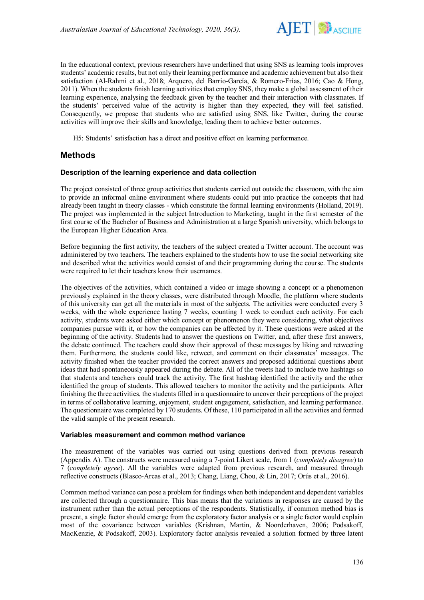

In the educational context, previous researchers have underlined that using SNS as learning tools improves students' academic results, but not only their learning performance and academic achievement but also their satisfaction (Al-Rahmi et al., 2018; Arquero, del Barrio-García, & Romero-Frías, 2016; Cao & Hong, 2011). When the students finish learning activities that employ SNS, they make a global assessment of their learning experience, analysing the feedback given by the teacher and their interaction with classmates. If the students' perceived value of the activity is higher than they expected, they will feel satisfied. Consequently, we propose that students who are satisfied using SNS, like Twitter, during the course activities will improve their skills and knowledge, leading them to achieve better outcomes.

H5: Students' satisfaction has a direct and positive effect on learning performance.

# **Methods**

### **Description of the learning experience and data collection**

The project consisted of three group activities that students carried out outside the classroom, with the aim to provide an informal online environment where students could put into practice the concepts that had already been taught in theory classes - which constitute the formal learning environments (Holland, 2019). The project was implemented in the subject Introduction to Marketing, taught in the first semester of the first course of the Bachelor of Business and Administration at a large Spanish university, which belongs to the European Higher Education Area.

Before beginning the first activity, the teachers of the subject created a Twitter account. The account was administered by two teachers. The teachers explained to the students how to use the social networking site and described what the activities would consist of and their programming during the course. The students were required to let their teachers know their usernames.

The objectives of the activities, which contained a video or image showing a concept or a phenomenon previously explained in the theory classes, were distributed through Moodle, the platform where students of this university can get all the materials in most of the subjects. The activities were conducted every 3 weeks, with the whole experience lasting 7 weeks, counting 1 week to conduct each activity. For each activity, students were asked either which concept or phenomenon they were considering, what objectives companies pursue with it, or how the companies can be affected by it. These questions were asked at the beginning of the activity. Students had to answer the questions on Twitter, and, after these first answers, the debate continued. The teachers could show their approval of these messages by liking and retweeting them. Furthermore, the students could like, retweet, and comment on their classmates' messages. The activity finished when the teacher provided the correct answers and proposed additional questions about ideas that had spontaneously appeared during the debate. All of the tweets had to include two hashtags so that students and teachers could track the activity. The first hashtag identified the activity and the other identified the group of students. This allowed teachers to monitor the activity and the participants. After finishing the three activities, the students filled in a questionnaire to uncover their perceptions of the project in terms of collaborative learning, enjoyment, student engagement, satisfaction, and learning performance. The questionnaire was completed by 170 students. Of these, 110 participated in all the activities and formed the valid sample of the present research.

#### **Variables measurement and common method variance**

The measurement of the variables was carried out using questions derived from previous research (Appendix A). The constructs were measured using a 7-point Likert scale, from 1 (*completely disagree*) to 7 (*completely agree*). All the variables were adapted from previous research, and measured through reflective constructs (Blasco-Arcas et al., 2013; Chang, Liang, Chou, & Lin, 2017; Orús et al., 2016).

Common method variance can pose a problem for findings when both independent and dependent variables are collected through a questionnaire. This bias means that the variations in responses are caused by the instrument rather than the actual perceptions of the respondents. Statistically, if common method bias is present, a single factor should emerge from the exploratory factor analysis or a single factor would explain most of the covariance between variables (Krishnan, Martin, & Noorderhaven, 2006; Podsakoff, MacKenzie, & Podsakoff, 2003). Exploratory factor analysis revealed a solution formed by three latent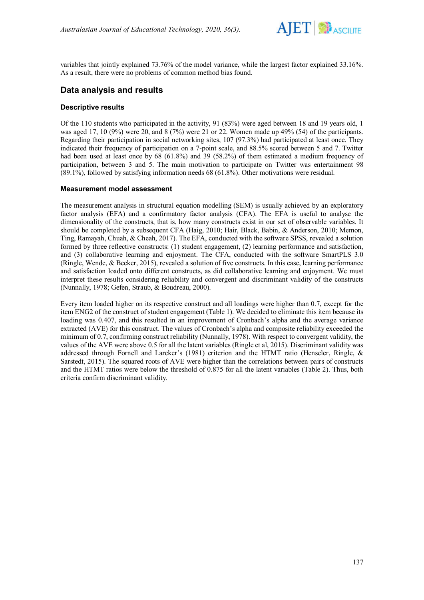

variables that jointly explained 73.76% of the model variance, while the largest factor explained 33.16%. As a result, there were no problems of common method bias found.

# **Data analysis and results**

## **Descriptive results**

Of the 110 students who participated in the activity, 91 (83%) were aged between 18 and 19 years old, 1 was aged 17, 10 (9%) were 20, and 8 (7%) were 21 or 22. Women made up 49% (54) of the participants. Regarding their participation in social networking sites, 107 (97.3%) had participated at least once. They indicated their frequency of participation on a 7-point scale, and 88.5% scored between 5 and 7. Twitter had been used at least once by 68 (61.8%) and 39 (58.2%) of them estimated a medium frequency of participation, between 3 and 5. The main motivation to participate on Twitter was entertainment 98 (89.1%), followed by satisfying information needs 68 (61.8%). Other motivations were residual.

## **Measurement model assessment**

The measurement analysis in structural equation modelling (SEM) is usually achieved by an exploratory factor analysis (EFA) and a confirmatory factor analysis (CFA). The EFA is useful to analyse the dimensionality of the constructs, that is, how many constructs exist in our set of observable variables. It should be completed by a subsequent CFA (Haig, 2010; Hair, Black, Babin, & Anderson, 2010; Memon, Ting, Ramayah, Chuah, & Cheah, 2017). The EFA, conducted with the software SPSS, revealed a solution formed by three reflective constructs: (1) student engagement, (2) learning performance and satisfaction, and (3) collaborative learning and enjoyment. The CFA, conducted with the software SmartPLS 3.0 (Ringle, Wende, & Becker, 2015), revealed a solution of five constructs. In this case, learning performance and satisfaction loaded onto different constructs, as did collaborative learning and enjoyment. We must interpret these results considering reliability and convergent and discriminant validity of the constructs (Nunnally, 1978; Gefen, Straub, & Boudreau, 2000).

Every item loaded higher on its respective construct and all loadings were higher than 0.7, except for the item ENG2 of the construct of student engagement (Table 1). We decided to eliminate this item because its loading was 0.407, and this resulted in an improvement of Cronbach's alpha and the average variance extracted (AVE) for this construct. The values of Cronbach's alpha and composite reliability exceeded the minimum of 0.7, confirming construct reliability (Nunnally, 1978). With respect to convergent validity, the values of the AVE were above 0.5 for all the latent variables (Ringle et al, 2015). Discriminant validity was addressed through Fornell and Larcker's (1981) criterion and the HTMT ratio (Henseler, Ringle, & Sarstedt, 2015). The squared roots of AVE were higher than the correlations between pairs of constructs and the HTMT ratios were below the threshold of 0.875 for all the latent variables (Table 2). Thus, both criteria confirm discriminant validity.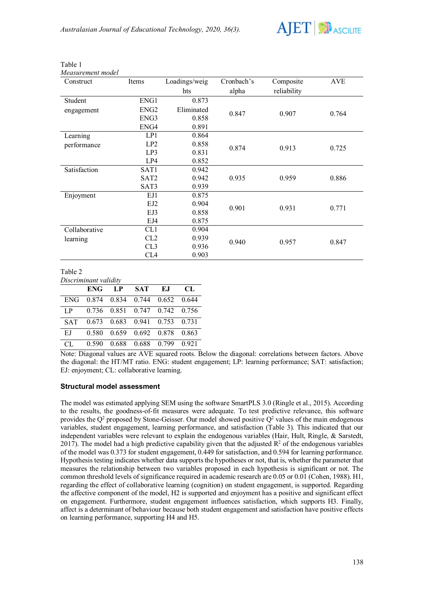

| I able |
|--------|
|--------|

*Measurement model*

| Construct     | Items            | Loadings/weig | Cronbach's | Composite   | <b>AVE</b> |
|---------------|------------------|---------------|------------|-------------|------------|
|               |                  | hts           | alpha      | reliability |            |
| Student       | ENG1             | 0.873         |            |             |            |
| engagement    | ENG <sub>2</sub> | Eliminated    | 0.847      | 0.907       | 0.764      |
|               | ENG3             | 0.858         |            |             |            |
|               | ENG4             | 0.891         |            |             |            |
| Learning      | LP1              | 0.864         |            |             |            |
| performance   | LP2              | 0.858         | 0.874      | 0.913       | 0.725      |
|               | LP3              | 0.831         |            |             |            |
|               | LP4              | 0.852         |            |             |            |
| Satisfaction  | SAT <sub>1</sub> | 0.942         |            |             |            |
|               | SAT <sub>2</sub> | 0.942         | 0.935      | 0.959       | 0.886      |
|               | SAT3             | 0.939         |            |             |            |
| Enjoyment     | EJ1              | 0.875         |            |             |            |
|               | EJ2              | 0.904         | 0.901      | 0.931       | 0.771      |
|               | EJ3              | 0.858         |            |             |            |
|               | EJ4              | 0.875         |            |             |            |
| Collaborative | CL1              | 0.904         |            |             |            |
| learning      | CL2              | 0.939         | 0.940      | 0.957       | 0.847      |
|               | CL3              | 0.936         |            |             |            |
|               | CL4              | 0.903         |            |             |            |

Table 2

*Discriminant validity*

|        |       | ENG LP | <b>SAT</b>                              | E.I | CL.   |
|--------|-------|--------|-----------------------------------------|-----|-------|
|        |       |        | ENG 0.874 0.834 0.744 0.652 0.644       |     |       |
| LP     |       |        | $0.736$ $0.851$ $0.747$ $0.742$ $0.756$ |     |       |
|        |       |        | SAT 0.673 0.683 0.941 0.753 0.731       |     |       |
| EJ     |       |        | 0.580 0.659 0.692 0.878 0.863           |     |       |
| $CI$ . | 0.590 |        | 0.688 0.688 0.799                       |     | 0.921 |

Note: Diagonal values are AVE squared roots. Below the diagonal: correlations between factors. Above the diagonal: the HT/MT ratio. ENG: student engagement; LP: learning performance; SAT: satisfaction; EJ: enjoyment; CL: collaborative learning.

### **Structural model assessment**

The model was estimated applying SEM using the software SmartPLS 3.0 (Ringle et al., 2015). According to the results, the goodness-of-fit measures were adequate. To test predictive relevance, this software provides the  $Q^2$  proposed by Stone-Geisser. Our model showed positive  $Q^2$  values of the main endogenous variables, student engagement, learning performance, and satisfaction (Table 3). This indicated that our independent variables were relevant to explain the endogenous variables (Hair, Hult, Ringle, & Sarstedt, 2017). The model had a high predictive capability given that the adjusted  $\mathbb{R}^2$  of the endogenous variables of the model was 0.373 for student engagement, 0.449 for satisfaction, and 0.594 for learning performance. Hypothesis testing indicates whether data supportsthe hypotheses or not, that is, whether the parameter that measures the relationship between two variables proposed in each hypothesis is significant or not. The common threshold levels of significance required in academic research are 0.05 or 0.01 (Cohen, 1988). H1, regarding the effect of collaborative learning (cognition) on student engagement, is supported. Regarding the affective component of the model, H2 is supported and enjoyment has a positive and significant effect on engagement. Furthermore, student engagement influences satisfaction, which supports H3. Finally, affect is a determinant of behaviour because both student engagement and satisfaction have positive effects on learning performance, supporting H4 and H5.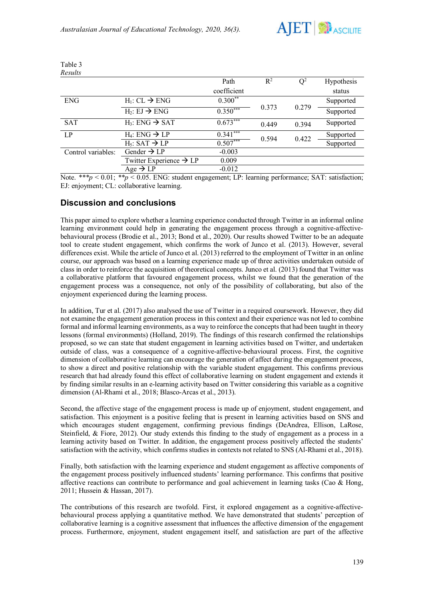

| Results            |                                     |             |       |       |            |
|--------------------|-------------------------------------|-------------|-------|-------|------------|
|                    |                                     | Path        | $R^2$ | $Q^2$ | Hypothesis |
|                    |                                     | coefficient |       |       | status     |
| <b>ENG</b>         | $H_1: CL \rightarrow ENG$           | $0.300**$   |       | 0.279 | Supported  |
|                    | $H_2: EI \rightarrow ENG$           | $0.350***$  | 0.373 |       | Supported  |
| <b>SAT</b>         | $H_3$ : ENG $\rightarrow$ SAT       | $0.673***$  | 0.449 | 0.394 | Supported  |
| LP                 | $H_4$ : ENG $\rightarrow$ LP        | $0.341***$  | 0.594 | 0.422 | Supported  |
|                    | $H_5$ : SAT $\rightarrow$ LP        | $0.507***$  |       |       | Supported  |
| Control variables: | Gender $\rightarrow$ LP             | $-0.003$    |       |       |            |
|                    | Twitter Experience $\rightarrow$ LP | 0.009       |       |       |            |
|                    | Age $\rightarrow$ LP                | $-0.012$    |       |       |            |

Table 3

Note. \*\*\*p < 0.01; \*\*p < 0.05. ENG: student engagement; LP: learning performance; SAT: satisfaction; EJ: enjoyment; CL: collaborative learning.

## **Discussion and conclusions**

This paper aimed to explore whether a learning experience conducted through Twitter in an informal online learning environment could help in generating the engagement process through a cognitive-affectivebehavioural process (Brodie et al., 2013; Bond et al., 2020). Our results showed Twitter to be an adequate tool to create student engagement, which confirms the work of Junco et al. (2013). However, several differences exist. While the article of Junco et al. (2013) referred to the employment of Twitter in an online course, our approach was based on a learning experience made up of three activities undertaken outside of class in order to reinforce the acquisition of theoretical concepts. Junco et al. (2013) found that Twitter was a collaborative platform that favoured engagement process, whilst we found that the generation of the engagement process was a consequence, not only of the possibility of collaborating, but also of the enjoyment experienced during the learning process.

In addition, Tur et al. (2017) also analysed the use of Twitter in a required coursework. However, they did not examine the engagement generation process in this context and their experience was not led to combine formal and informal learning environments, as a way to reinforce the concepts that had been taught in theory lessons (formal environments) (Holland, 2019). The findings of this research confirmed the relationships proposed, so we can state that student engagement in learning activities based on Twitter, and undertaken outside of class, was a consequence of a cognitive-affective-behavioural process. First, the cognitive dimension of collaborative learning can encourage the generation of affect during the engagement process, to show a direct and positive relationship with the variable student engagement. This confirms previous research that had already found this effect of collaborative learning on student engagement and extends it by finding similar results in an e-learning activity based on Twitter considering this variable as a cognitive dimension (Al-Rhami et al., 2018; Blasco-Arcas et al., 2013).

Second, the affective stage of the engagement process is made up of enjoyment, student engagement, and satisfaction. This enjoyment is a positive feeling that is present in learning activities based on SNS and which encourages student engagement, confirming previous findings (DeAndrea, Ellison, LaRose, Steinfield, & Fiore, 2012). Our study extends this finding to the study of engagement as a process in a learning activity based on Twitter. In addition, the engagement process positively affected the students' satisfaction with the activity, which confirms studies in contexts not related to SNS (Al-Rhami et al., 2018).

Finally, both satisfaction with the learning experience and student engagement as affective components of the engagement process positively influenced students' learning performance. This confirms that positive affective reactions can contribute to performance and goal achievement in learning tasks (Cao & Hong, 2011; Hussein & Hassan, 2017).

The contributions of this research are twofold. First, it explored engagement as a cognitive-affectivebehavioural process applying a quantitative method. We have demonstrated that students' perception of collaborative learning is a cognitive assessment that influences the affective dimension of the engagement process. Furthermore, enjoyment, student engagement itself, and satisfaction are part of the affective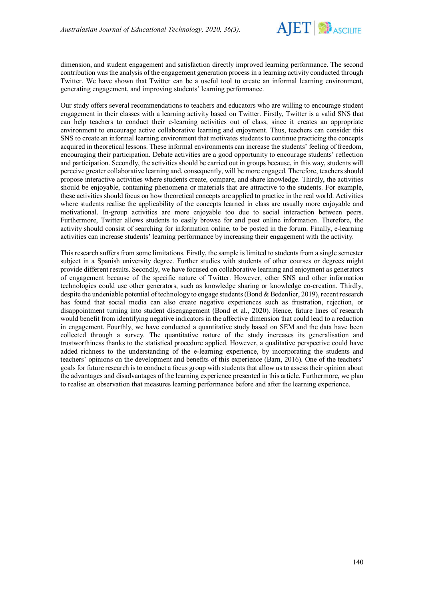

dimension, and student engagement and satisfaction directly improved learning performance. The second contribution was the analysis of the engagement generation process in a learning activity conducted through Twitter. We have shown that Twitter can be a useful tool to create an informal learning environment, generating engagement, and improving students' learning performance.

Our study offers several recommendations to teachers and educators who are willing to encourage student engagement in their classes with a learning activity based on Twitter. Firstly, Twitter is a valid SNS that can help teachers to conduct their e-learning activities out of class, since it creates an appropriate environment to encourage active collaborative learning and enjoyment. Thus, teachers can consider this SNS to create an informal learning environment that motivates students to continue practicing the concepts acquired in theoretical lessons. These informal environments can increase the students' feeling of freedom, encouraging their participation. Debate activities are a good opportunity to encourage students' reflection and participation. Secondly, the activities should be carried out in groups because, in this way, students will perceive greater collaborative learning and, consequently, will be more engaged. Therefore, teachers should propose interactive activities where students create, compare, and share knowledge. Thirdly, the activities should be enjoyable, containing phenomena or materials that are attractive to the students. For example, these activities should focus on how theoretical concepts are applied to practice in the real world. Activities where students realise the applicability of the concepts learned in class are usually more enjoyable and motivational. In-group activities are more enjoyable too due to social interaction between peers. Furthermore, Twitter allows students to easily browse for and post online information. Therefore, the activity should consist of searching for information online, to be posted in the forum. Finally, e-learning activities can increase students' learning performance by increasing their engagement with the activity.

This research suffers from some limitations. Firstly, the sample is limited to students from a single semester subject in a Spanish university degree. Further studies with students of other courses or degrees might provide different results. Secondly, we have focused on collaborative learning and enjoyment as generators of engagement because of the specific nature of Twitter. However, other SNS and other information technologies could use other generators, such as knowledge sharing or knowledge co-creation. Thirdly, despite the undeniable potential of technology to engage students (Bond & Bedenlier, 2019), recent research has found that social media can also create negative experiences such as frustration, rejection, or disappointment turning into student disengagement (Bond et al., 2020). Hence, future lines of research would benefit from identifying negative indicators in the affective dimension that could lead to a reduction in engagement. Fourthly, we have conducted a quantitative study based on SEM and the data have been collected through a survey. The quantitative nature of the study increases its generalisation and trustworthiness thanks to the statistical procedure applied. However, a qualitative perspective could have added richness to the understanding of the e-learning experience, by incorporating the students and teachers' opinions on the development and benefits of this experience (Barn, 2016). One of the teachers' goals for future research is to conduct a focus group with students that allow us to assess their opinion about the advantages and disadvantages of the learning experience presented in this article. Furthermore, we plan to realise an observation that measures learning performance before and after the learning experience.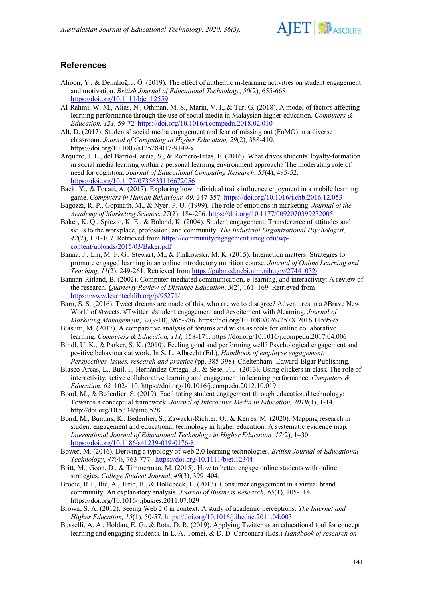

# **References**

- Alioon, Y., & Delialioğlu, Ö. (2019). The effect of authentic m-learning activities on student engagement and motivation. *British Journal of Educational Technology*, *50*(2), 655-668 <https://doi.org/10.1111/bjet.12559>
- Al-Rahmi, W. M., Alias, N., Othman, M. S., Marin, V. I., & Tur, G. (2018). A model of factors affecting learning performance through the use of social media in Malaysian higher education. *Computers & Education, 121*, 59-72. <https://doi.org/10.1016/j.compedu.2018.02.010>
- Alt, D. (2017). Students' social media engagement and fear of missing out (FoMO) in a diverse classroom. *Journal of Computing in Higher Education, 29*(2), 388-410. https://doi.org/10.1007/s12528-017-9149-x
- Arquero, J. L., del Barrio-García, S., & Romero-Frías, E. (2016). [What drives students' loyalty-formation](https://journals.sagepub.com/doi/full/10.1177/0735633116672056)  [in social media learning within a personal learning environment approach? The moderating role of](https://journals.sagepub.com/doi/full/10.1177/0735633116672056)  [need for cognition.](https://journals.sagepub.com/doi/full/10.1177/0735633116672056) *Journal of Educational Computing Research*, *55*(4), 495-52. <https://doi.org/10.1177/0735633116672056>
- Baek, Y., & Touati, A. (2017). Exploring how individual traits influence enjoyment in a mobile learning game. *Computers in Human Behaviour, 69,* 347-357. <https://doi.org/10.1016/j.chb.2016.12.053>
- Bagozzi, R. P., Gopinath, M., & Nyer, P. U. (1999). The role of emotions in marketing. *Journal of the Academy of Marketing Science*, *27*(2), 184-206. <https://doi.org/10.1177/0092070399272005>
- Baker, K. Q., Spiezio, K. E., & Boland, K. (2004). Student engagement: Transference of attitudes and skills to the workplace, profession, and community. *The Industrial Organizational Psychologist, 42*(2), 101-107. Retrieved from [https://communityengagement.uncg.edu/wp](https://communityengagement.uncg.edu/wp-content/uploads/2015/03/Baker.pdf)[content/uploads/2015/03/Baker.pdf](https://communityengagement.uncg.edu/wp-content/uploads/2015/03/Baker.pdf)
- Banna, J., Lin, M. F. G., Stewart, M., & Fialkowski, M. K. (2015). Interaction matters: Strategies to promote engaged learning in an online introductory nutrition course. *Journal of Online Learning and Teaching*, *11*(2), 249-261. Retrieved from<https://pubmed.ncbi.nlm.nih.gov/27441032/>
- Bannan-Ritland, B. (2002). Computer-mediated communication, e-learning, and interactivity: A review of the research. *Quarterly Review of Distance Education*, *3*(2), 161–169. Retrieved from <https://www.learntechlib.org/p/95271/>
- Barn, S. S. (2016). Tweet dreams are made of this, who are we to disagree? Adventures in a #Brave New World of #tweets, #Twitter, #student engagement and #excitement with #learning. *Journal of Marketing Management*, 32(9-10), 965-986. <https://doi.org/10.1080/0267257X.2016.1159598>
- Biasutti, M. (2017). A comparative analysis of forums and wikis as tools for online collaborative learning. *Computers & Education, 111,* 158-171. <https://doi.org/10.1016/j.compedu.2017.04.006>
- Bindl, U. K., & Parker, S. K. (2010). Feeling good and performing well? Psychological engagement and positive behaviours at work. In S. L. Albrecht (Ed.), *Handbook of employee engagement: Perspectives, issues, research and practice* (pp. 385-398). Cheltenham: Edward-Elgar Publishing.
- Blasco-Arcas, L., Buil, I., Hernández-Ortega, B., & Sese, F. J. (2013). Using clickers in class. The role of interactivity, active collaborative learning and engagement in learning performance. *Computers & Education*, *62,* 102-110. <https://doi.org/10.1016/j.compedu.2012.10.019>
- Bond, M., & Bedenlier, S. (2019). Facilitating student engagement through educational technology: Towards a conceptual framework. *Journal of Interactive Media in Education, 2019*(1), 1-14. <http://doi.org/10.5334/jime.528>
- Bond, M., Buntins, K., Bedenlier, S., Zawacki-Richter, O., & Kerres, M. (2020). Mapping research in student engagement and educational technology in higher education: A systematic evidence map. *International Journal of Educational Technology in Higher Education, 17(*2), 1–30. <https://doi.org/10.1186/s41239-019-0176-8>
- Bower, M. (2016). Deriving a typology of web 2.0 learning technologies. *British Journal of Educational Technology*, *47*(4), 763-777. <https://doi.org/10.1111/bjet.12344>
- Britt, M., Goon, D., & Timmerman, M. (2015). How to better engage online students with online strategies. *College Student Journal*, *49*(3), 399–404.
- Brodie, R.J., Ilic, A., Juric, B., & Hollebeck, L. (2013). Consumer engagement in a virtual brand community: An explanatory analysis. *Journal of Business Research, 65*(1), 105-114. <https://doi.org/10.1016/j.jbusres.2011.07.029>
- Brown, S. A. (2012). Seeing Web 2.0 in context: A study of academic perceptions. *The Internet and Higher Education, 15*(1), 50-57. <https://doi.org/10.1016/j.iheduc.2011.04.003>
- Busselli, A. A., Holdan, E. G., & Rota, D. R. (2019). Applying Twitter as an educational tool for concept learning and engaging students. In L. A. Tomei, & D. D. Carbonara (Eds.) *Handbook of research on*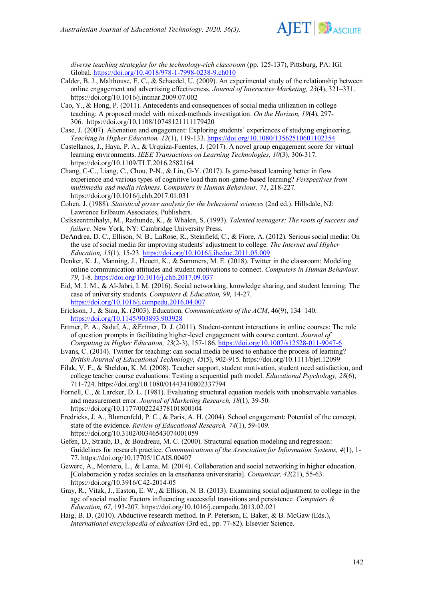

*diverse teaching strategies for the technology-rich classroom* (pp. 125-137), Pittsburg, PA: IGI Global. <https://doi.org/10.4018/978-1-7998-0238-9.ch010>

- Calder, B. J., Malthouse, E. C., & Schaedel, U. (2009). An experimental study of the relationship between online engagement and advertising effectiveness. *Journal of Interactive Marketing, 23*(4), 321–331. <https://doi.org/10.1016/j.intmar.2009.07.002>
- Cao, Y., & Hong, P. (2011). Antecedents and consequences of social media utilization in college teaching: A proposed model with mixed-methods investigation. *On the Horizon, 19*(4), 297- 306. <https://doi.org/10.1108/10748121111179420>
- Case, J. (2007). Alienation and engagement: Exploring students' experiences of studying engineering. *Teaching in Higher Education, 12*(1), 119-133. <https://doi.org/10.1080/13562510601102354>
- Castellanos, J., Haya, P. A., & Urquiza-Fuentes, J. (2017). A novel group engagement score for virtual learning environments. *IEEE Transactions on Learning Technologies, 10*(3), 306-317. https://doi.org[/10.1109/TLT.2016.2582164](https://doi.org/10.1109/TLT.2016.2582164)
- Chang, C-C., Liang, C., Chou, P-N., & Lin, G-Y. (2017). Is game-based learning better in flow experience and various types of cognitive load than non-game-based learning? *Perspectives from multimedia and media richness. Computers in Human Behaviour, 71*, 218-227. <https://doi.org/10.1016/j.chb.2017.01.031>
- Cohen, J. (1988). *Statistical power analysis for the behavioral sciences* (2nd ed.). Hillsdale, NJ: Lawrence Erlbaum Associates, Publishers.
- Csikszentmihalyi, M., Rathunde, K., & Whalen, S. (1993). *Talented teenagers: The roots of success and failure.* New York, NY: Cambridge University Press.
- DeAndrea, D. C., Ellison, N. B., LaRose, R., Steinfield, C., & Fiore, A. (2012). Serious social media: On the use of social media for improving students' adjustment to college. *The Internet and Higher Education, 15*(1), 15-23. <https://doi.org/10.1016/j.iheduc.2011.05.009>
- Denker, K. J., Manning, J., Heuett, K., & Summers, M. E. (2018). Twitter in the classroom: Modeling online communication attitudes and student motivations to connect. *Computers in Human Behaviour, 79*, 1-8. <https://doi.org/10.1016/j.chb.2017.09.037>
- Eid, M. I. M., & Al-Jabri, I. M. (2016). Social networking, knowledge sharing, and student learning: The case of university students. *Computers & Education, 99,* 14-27. <https://doi.org/10.1016/j.compedu.2016.04.007>
- Erickson, J., & Siau, K. (2003). Education. *Communications of the ACM*, 46(9), 134–140. <https://doi.org/10.1145/903893.903928>
- Ertmer, P. A., Sadaf, A., &Ertmer, D. J. (2011). Student-content interactions in online courses: The role of question prompts in facilitating higher-level engagement with course content. *Journal of Computing in Higher Education, 23*(2-3), 157-186. <https://doi.org/10.1007/s12528-011-9047-6>
- Evans, C. (2014). Twitter for teaching: can social media be used to enhance the process of learning? *British Journal of Educational Technology, 45*(5), 902-915. <https://doi.org/10.1111/bjet.12099>
- Filak, V. F., & Sheldon, K. M. (2008). Teacher support, student motivation, student need satisfaction, and college teacher course evaluations: Testing a sequential path model. *Educational Psychology, 28*(6), 711-724. <https://doi.org/10.1080/01443410802337794>
- Fornell, C., & Larcker, D. L. (1981). Evaluating structural equation models with unobservable variables and measurement error. *Journal of Marketing Research, 18*(1), 39-50. [https://doi.org/10.1177/002224378101800104](https://doi.org/10.1177%2F002224378101800104)
- Fredricks, J. A., Blumenfeld, P. C., & Paris, A. H. (2004). School engagement: Potential of the concept, state of the evidence. *Review of Educational Research, 74*(1), 59-109. [https://doi.org/10.3102/00346543074001059](https://doi.org/10.3102%2F00346543074001059)
- Gefen, D., Straub, D., & Boudreau, M. C. (2000). Structural equation modeling and regression: Guidelines for research practice. *Communications of the Association for Information Systems, 4*(1), 1- 77. <https://doi.org/10.17705/1CAIS.00407>
- Gewerc, A., Montero, L., & Lama, M. (2014). Collaboration and social networking in higher education. [Colaboración y redes sociales en la enseñanza universitaria]. *Comunicar, 42*(21), 55-63. [https://doi.org/10.3916/C42-2014-05](http://dx.doi.org/10.3916/C42-2014-05)
- Gray, R., Vitak, J., Easton, E. W., & Ellison, N. B. (2013). Examining social adjustment to college in the age of social media: Factors influencing successful transitions and persistence*. Computers & Education, 67*, 193-207. <https://doi.org/10.1016/j.compedu.2013.02.021>
- Haig, B. D. (2010). Abductive research method. In P. Peterson, E. Baker, & B. McGaw (Eds.), *International encyclopedia of education* (3rd ed., pp. 77-82). Elsevier Science.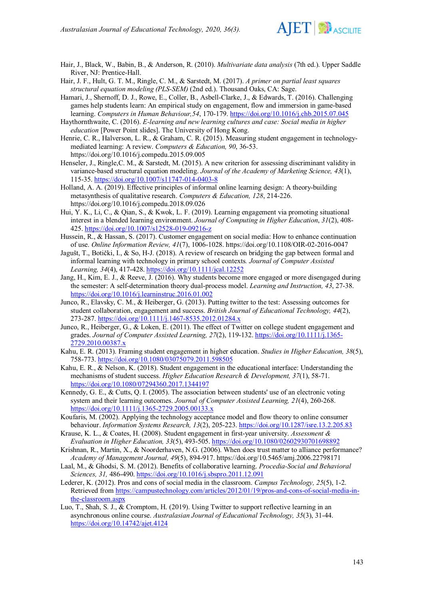

- Hair, J., Black, W., Babin, B., & Anderson, R. (2010). *Multivariate data analysis* (7th ed.). Upper Saddle River, NJ: Prentice-Hall.
- Hair, J. F., Hult, G. T. M., Ringle, C. M., & Sarstedt, M. (2017). *[A primer on partial least squares](http://www.pls-sem.com/)  [structural equation modeling \(PLS-SEM\)](http://www.pls-sem.com/)* (2nd ed.). Thousand Oaks, CA: Sage.

Hamari, J., Shernoff, D. J., Rowe, E., Coller, B., Asbell-Clarke, J., & Edwards, T. (2016). Challenging games help students learn: An empirical study on engagement, flow and immersion in game-based learning. *Computers in Human Behaviour,54*, 170-179. <https://doi.org/10.1016/j.chb.2015.07.045>

- Haythornthwaite, C. (2016). *E-learning and new learning cultures and case: Social media in higher education* [Power Point slides]. The University of Hong Kong.
- Henrie, C. R., Halverson, L. R., & Graham, C. R. (2015). Measuring student engagement in technologymediated learning: A review. *Computers & Education, 90*, 36-53. <https://doi.org/10.1016/j.compedu.2015.09.005>
- Henseler, J., Ringle,C. M., & Sarstedt, M. (2015). A new criterion for assessing discriminant validity in variance-based structural equation modeling. *Journal of the Academy of Marketing Science, 43*(1), 115-35. <https://doi.org/10.1007/s11747-014-0403-8>
- Holland, A. A. (2019). Effective principles of informal online learning design: A theory-building metasynthesis of qualitative research. *Computers & Education, 128*, 214-226. <https://doi.org/10.1016/j.compedu.2018.09.026>
- Hui, Y. K., Li, C., & Qian, S., & Kwok, L. F. (2019). Learning engagement via promoting situational interest in a blended learning environment. *Journal of Computing in Higher Education*, *31*(2), 408- 425. [https://doi.org/10.1007/s12528-019-09216-z](https://link.springer.com/article/10.1007/s12528-019-09216-z)
- Hussein, R., & Hassan, S. (2017). Customer engagement on social media: How to enhance continuation of use. *Online Information Review, 41*(7), 1006-1028. <https://doi.org/10.1108/OIR-02-2016-0047>
- Jagušt, T., Botički, I., & So, H-J. (2018). A review of research on bridging the gap between formal and informal learning with technology in primary school contexts*. Journal of Computer Assisted Learning, 34*(4), 417-428. <https://doi.org/10.1111/jcal.12252>
- Jang, H., Kim, E. J., & Reeve, J. (2016). Why students become more engaged or more disengaged during the semester: A self-determination theory dual-process model. *Learning and Instruction, 43*, 27-38. <https://doi.org/10.1016/j.learninstruc.2016.01.002>
- Junco, R., Elavsky, C. M., & Heiberger, G. (2013). Putting twitter to the test: Assessing outcomes for student collaboration, engagement and success. *British Journal of Educational Technology, 44*(2), 273-287. <https://doi.org/10.1111/j.1467-8535.2012.01284.x>
- Junco, R., Heiberger, G., & Loken, E. (2011). The effect of Twitter on college student engagement and grades. *Journal of Computer Assisted Learning, 27*(2), 119-132. [https://doi.org/10.1111/j.1365-](https://doi.org/10.1111/j.1365-2729.2010.00387.x) [2729.2010.00387.x](https://doi.org/10.1111/j.1365-2729.2010.00387.x)
- Kahu, E. R. (2013). Framing student engagement in higher education. *Studies in Higher Education, 38*(5), 758-773. <https://doi.org/10.1080/03075079.2011.598505>
- Kahu, E. R., & Nelson, K. (2018). Student engagement in the educational interface: Understanding the mechanisms of student success. *Higher Education Research & Development, 37*(1), 58-71. <https://doi.org/10.1080/07294360.2017.1344197>
- Kennedy, G. E., & Cutts, Q. I. (2005). The association between students' use of an electronic voting system and their learning outcomes. *Journal of Computer Assisted Learning, 21*(4), 260-268. <https://doi.org/10.1111/j.1365-2729.2005.00133.x>
- Koufaris, M. (2002). Applying the technology acceptance model and flow theory to online consumer behaviour. *Information Systems Research, 13*(2), 205-223. <https://doi.org/10.1287/isre.13.2.205.83>
- Krause, K. L., & Coates, H. (2008). Student engagement in first-year university. *Assessment & Evaluation in Higher Education, 33*(5), 493-505. <https://doi.org/10.1080/02602930701698892>
- Krishnan, R., Martin, X., & Noorderhaven, N.G. (2006). When does trust matter to alliance performance? *Academy of Management Journal, 49*(5), 894-917. <https://doi.org/10.5465/amj.2006.22798171>
- Laal, M., & Ghodsi, S. M. (2012). Benefits of collaborative learning. *Procedia-Social and Behavioral Sciences, 31,* 486-490. <https://doi.org/10.1016/j.sbspro.2011.12.091>
- Lederer, K. (2012). Pros and cons of social media in the classroom. *Campus Technology, 25*(5), 1-2. Retrieved from [https://campustechnology.com/articles/2012/01/19/pros-and-cons-of-social-media-in](https://campustechnology.com/articles/2012/01/19/pros-and-cons-of-social-media-in-the-classroom.aspx)[the-classroom.aspx](https://campustechnology.com/articles/2012/01/19/pros-and-cons-of-social-media-in-the-classroom.aspx)
- Luo, T., Shah, S. J., & Cromptom, H. (2019). Using Twitter to support reflective learning in an asynchronous online course. *Australasian Journal of Educational Technology, 35*(3), 31-44. <https://doi.org/10.14742/ajet.4124>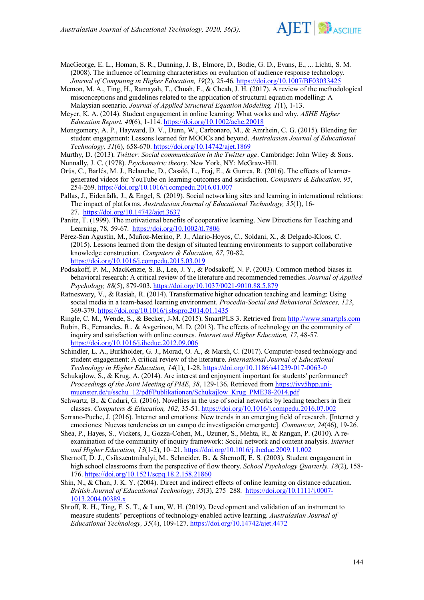

- MacGeorge, E. L., Homan, S. R., Dunning, J. B., Elmore, D., Bodie, G. D., Evans, E., ... Lichti, S. M. (2008). The influence of learning characteristics on evaluation of audience response technology. *Journal of Computing in Higher Education, 19*(2), 25-46. <https://doi.org/10.1007/BF03033425>
- Memon, M. A., Ting, H., Ramayah, T., Chuah, F., & Cheah, J. H. (2017). A review of the methodological misconceptions and guidelines related to the application of structural equation modelling: A Malaysian scenario. *Journal of Applied Structural Equation Modeling, 1*(1), 1-13.
- Meyer, K. A. (2014). Student engagement in online learning: What works and why. *ASHE Higher Education Report*, *40*(6), 1-114. <https://doi.org/10.1002/aehe.20018>
- Montgomery, A. P., Hayward, D. V., Dunn, W., Carbonaro, M., & Amrhein, C. G. (2015). Blending for student engagement: Lessons learned for MOOCs and beyond. *Australasian Journal of Educational Technology, 31*(6), 658-670. <https://doi.org/10.14742/ajet.1869>
- Murthy, D. (2013). *Twitter: Social communication in the Twitter age*. Cambridge: John Wiley & Sons. Nunnally, J. C. (1978). *Psychometric theory*. New York, NY: McGraw-Hill.
- Orús, C., Barlés, M. J., Belanche, D., Casaló, L., Fraj, E., & Gurrea, R. (2016). The effects of learnergenerated videos for YouTube on learning outcomes and satisfaction. *Computers & Education, 95*, 254-269. <https://doi.org/10.1016/j.compedu.2016.01.007>
- Pallas, J., Eidenfalk, J., & Engel, S. (2019). Social networking sites and learning in international relations: The impact of platforms. *Australasian Journal of Educational Technology, 35*(1), 16- 27. <https://doi.org/10.14742/ajet.3637>
- Panitz, T. (1999). The motivational benefits of cooperative learning. New Directions for Teaching and Learning, 78, 59-67. <https://doi.org/10.1002/tl.7806>
- Pérez-San Agustín, M., Muñoz-Merino, P. J., Alario-Hoyos, C., Soldani, X., & Delgado-Kloos, C. (2015). Lessons learned from the design of situated learning environments to support collaborative knowledge construction. *Computers & Education, 87*, 70-82. <https://doi.org/10.1016/j.compedu.2015.03.019>
- Podsakoff, P. M., MacKenzie, S. B., Lee, J. Y., & Podsakoff, N. P. (2003). Common method biases in behavioral research: A critical review of the literature and recommended remedies. *Journal of Applied Psychology, 88*(5), 879-903. <https://doi.org/10.1037/0021-9010.88.5.879>
- Ratneswary, V., & Rasiah, R. (2014). Transformative higher education teaching and learning: Using social media in a team-based learning environment. *Procedia-Social and Behavioral Sciences, 123*, 369-379. <https://doi.org/10.1016/j.sbspro.2014.01.1435>
- Ringle, C. M., Wende, S., & Becker, J-M. (2015). SmartPLS 3. Retrieved from [http://www.smartpls.com](http://www.smartpls.com/)
- Rubin, B., Fernandes, R., & Avgerinou, M. D. (2013). The effects of technology on the community of inquiry and satisfaction with online courses. *Internet and Higher Education, 17*, 48-57. <https://doi.org/10.1016/j.iheduc.2012.09.006>
- Schindler, L. A., Burkholder, G. J., Morad, O. A., & Marsh, C. (2017). Computer-based technology and student engagement: A critical review of the literature. *International Journal of Educational Technology in Higher Education, 14*(1), 1-28. <https://doi.org/10.1186/s41239-017-0063-0>
- Schukajlow, S., & Krug, A. (2014). Are interest and enjoyment important for students' performance? *Proceedings of the Joint Meeting of PME*, *38*, 129-136. Retrieved from [https://ivv5hpp.uni](https://ivv5hpp.uni-muenster.de/u/sschu_12/pdf/Publikationen/Schukajlow_Krug_PME38-2014.pdf)[muenster.de/u/sschu\\_12/pdf/Publikationen/Schukajlow\\_Krug\\_PME38-2014.pdf](https://ivv5hpp.uni-muenster.de/u/sschu_12/pdf/Publikationen/Schukajlow_Krug_PME38-2014.pdf)
- Schwartz, B., & Caduri, G. (2016). Novelties in the use of social networks by leading teachers in their classes. *Computers & Education, 102,* 35-51. <https://doi.org/10.1016/j.compedu.2016.07.002>
- Serrano-Puche, J. (2016). Internet and emotions: New trends in an emerging field of research. [Internet y emociones: Nuevas tendencias en un campo de investigación emergente]. *Comunicar, 24*(46), 19-26.
- Shea, P., Hayes, S., Vickers, J., Gozza-Cohen, M., Uzuner, S., Mehta, R., & Rangan, P. (2010). A reexamination of the community of inquiry framework: Social network and content analysis. *Internet and Higher Education, 13*(1-2), 10–21. <https://doi.org/10.1016/j.iheduc.2009.11.002>
- Shernoff, D. J., Csikszentmihalyi, M., Schneider, B., & Shernoff, E. S. (2003). Student engagement in high school classrooms from the perspective of flow theory. *School Psychology Quarterly, 18*(2), 158- 176. [https://doi.org/10.1521/scpq.18.2.158.21860](https://psycnet.apa.org/doi/10.1521/scpq.18.2.158.21860)
- Shin, N., & Chan, J. K. Y. (2004). Direct and indirect effects of online learning on distance education. *British Journal of Educational Technology, 35*(3), 275–288. [https://doi.org/10.1111/j.0007-](https://doi.org/10.1111/j.0007-1013.2004.00389.x) [1013.2004.00389.x](https://doi.org/10.1111/j.0007-1013.2004.00389.x)
- Shroff, R. H., Ting, F. S. T., & Lam, W. H. (2019). Development and validation of an instrument to measure students' perceptions of technology-enabled active learning. *Australasian Journal of Educational Technology, 35*(4), 109-127. <https://doi.org/10.14742/ajet.4472>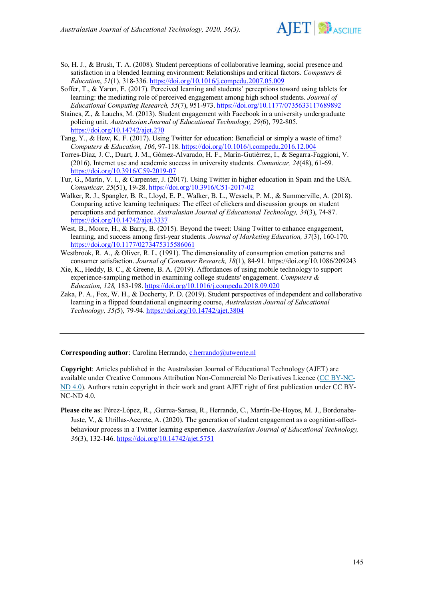

- So, H. J., & Brush, T. A. (2008). Student perceptions of collaborative learning, social presence and satisfaction in a blended learning environment: Relationships and critical factors. *Computers & Education*, *51*(1), 318-336.<https://doi.org/10.1016/j.compedu.2007.05.009>
- Soffer, T., & Yaron, E. (2017). Perceived learning and students' perceptions toward using tablets for learning: the mediating role of perceived engagement among high school students. *Journal of Educational Computing Research, 55*(7), 951-973. <https://doi.org/10.1177/0735633117689892>
- Staines, Z., & Lauchs, M. (2013). Student engagement with Facebook in a university undergraduate policing unit. *Australasian Journal of Educational Technology, 29(*6), 792-805. <https://doi.org/10.14742/ajet.270>
- Tang, Y., & Hew, K. F. (2017). Using Twitter for education: Beneficial or simply a waste of time? *Computers & Education, 106*, 97-118. <https://doi.org/10.1016/j.compedu.2016.12.004>
- Torres-Díaz, J. C., Duart, J. M., Gómez-Alvarado, H. F., Marín-Gutiérrez, I., & Segarra-Faggioni, V. (2016). Internet use and academic success in university students. *Comunicar, 24*(48), 61-69. <https://doi.org/10.3916/C59-2019-07>
- Tur, G., Marín, V. I., & Carpenter, J. (2017). Using Twitter in higher education in Spain and the USA. *Comunicar, 25*(51), 19-28. <https://doi.org/10.3916/C51-2017-02>
- Walker, R. J., Spangler, B. R., Lloyd, E. P., Walker, B. L., Wessels, P. M., & Summerville, A. (2018). Comparing active learning techniques: The effect of clickers and discussion groups on student perceptions and performance. *Australasian Journal of Educational Technology, 34*(3), 74-87. [https://doi.org/10.14742/ajet.3337](https://ajet.org.au/index.php/AJET/article/view/3337)
- West, B., Moore, H., & Barry, B. (2015). Beyond the tweet: Using Twitter to enhance engagement, learning, and success among first-year students. *Journal of Marketing Education, 37*(3), 160-170. <https://doi.org/10.1177/0273475315586061>
- Westbrook, R. A., & Oliver, R. L. (1991). The dimensionality of consumption emotion patterns and consumer satisfaction. *Journal of Consumer Research, 18*(1), 84-91. <https://doi.org/10.1086/209243>
- Xie, K., Heddy, B. C., & Greene, B. A. (2019). Affordances of using mobile technology to support experience-sampling method in examining college students' engagement. *Computers & Education, 128,* 183-198. <https://doi.org/10.1016/j.compedu.2018.09.020>
- Zaka, P. A., Fox, W. H., & Docherty, P. D. (2019). Student perspectives of independent and collaborative learning in a flipped foundational engineering course, *Australasian Journal of Educational Technology, 35(*5), 79-94. <https://doi.org/10.14742/ajet.3804>

**Corresponding author**: Carolina Herrando, *c.herrando@utwente.nl* 

**Copyright**: Articles published in the Australasian Journal of Educational Technology (AJET) are available under Creative Commons Attribution Non-Commercial No Derivatives Licence [\(CC BY-NC-](https://creativecommons.org/licenses/by-nc-nd/4.0/)[ND 4.0\)](https://creativecommons.org/licenses/by-nc-nd/4.0/). Authors retain copyright in their work and grant AJET right of first publication under CC BY-NC-ND 4.0.

**Please cite as**: Pérez-López, R., ,Gurrea-Sarasa, R., Herrando, C., Martín-De-Hoyos, M. J., Bordonaba-Juste, V., & Utrillas-Acerete, A. (2020). The generation of student engagement as a cognition-affectbehaviour process in a Twitter learning experience. *Australasian Journal of Educational Technology, 36*(3), 132-146.<https://doi.org/10.14742/ajet.5751>